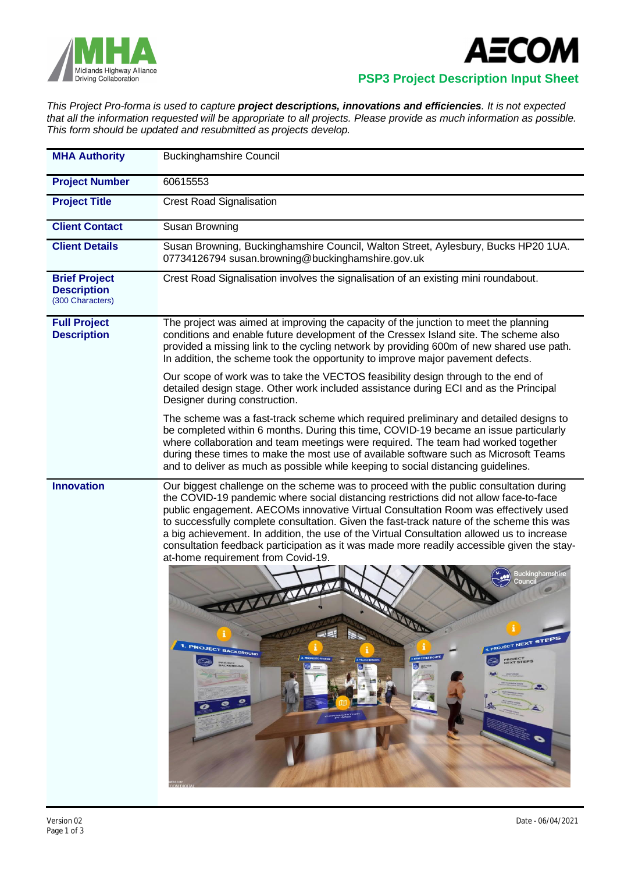



## **PSP3 Project Description Input Sheet**

*This Project Pro-forma is used to capture project descriptions, innovations and efficiencies. It is not expected that all the information requested will be appropriate to all projects. Please provide as much information as possible. This form should be updated and resubmitted as projects develop.*

| <b>MHA Authority</b>                                           | <b>Buckinghamshire Council</b>                                                                                                                                                                                                                                                                                                                                                                                                                                                                                                                                                                                                                                                                                                                                                                                                                                                                                                       |  |  |  |
|----------------------------------------------------------------|--------------------------------------------------------------------------------------------------------------------------------------------------------------------------------------------------------------------------------------------------------------------------------------------------------------------------------------------------------------------------------------------------------------------------------------------------------------------------------------------------------------------------------------------------------------------------------------------------------------------------------------------------------------------------------------------------------------------------------------------------------------------------------------------------------------------------------------------------------------------------------------------------------------------------------------|--|--|--|
| <b>Project Number</b>                                          | 60615553                                                                                                                                                                                                                                                                                                                                                                                                                                                                                                                                                                                                                                                                                                                                                                                                                                                                                                                             |  |  |  |
| <b>Project Title</b>                                           | <b>Crest Road Signalisation</b>                                                                                                                                                                                                                                                                                                                                                                                                                                                                                                                                                                                                                                                                                                                                                                                                                                                                                                      |  |  |  |
| <b>Client Contact</b>                                          | Susan Browning                                                                                                                                                                                                                                                                                                                                                                                                                                                                                                                                                                                                                                                                                                                                                                                                                                                                                                                       |  |  |  |
| <b>Client Details</b>                                          | Susan Browning, Buckinghamshire Council, Walton Street, Aylesbury, Bucks HP20 1UA.<br>07734126794 susan.browning@buckinghamshire.gov.uk                                                                                                                                                                                                                                                                                                                                                                                                                                                                                                                                                                                                                                                                                                                                                                                              |  |  |  |
| <b>Brief Project</b><br><b>Description</b><br>(300 Characters) | Crest Road Signalisation involves the signalisation of an existing mini roundabout.                                                                                                                                                                                                                                                                                                                                                                                                                                                                                                                                                                                                                                                                                                                                                                                                                                                  |  |  |  |
| <b>Full Project</b><br><b>Description</b>                      | The project was aimed at improving the capacity of the junction to meet the planning<br>conditions and enable future development of the Cressex Island site. The scheme also<br>provided a missing link to the cycling network by providing 600m of new shared use path.<br>In addition, the scheme took the opportunity to improve major pavement defects.                                                                                                                                                                                                                                                                                                                                                                                                                                                                                                                                                                          |  |  |  |
|                                                                | Our scope of work was to take the VECTOS feasibility design through to the end of<br>detailed design stage. Other work included assistance during ECI and as the Principal<br>Designer during construction.                                                                                                                                                                                                                                                                                                                                                                                                                                                                                                                                                                                                                                                                                                                          |  |  |  |
|                                                                | The scheme was a fast-track scheme which required preliminary and detailed designs to<br>be completed within 6 months. During this time, COVID-19 became an issue particularly<br>where collaboration and team meetings were required. The team had worked together<br>during these times to make the most use of available software such as Microsoft Teams<br>and to deliver as much as possible while keeping to social distancing guidelines.                                                                                                                                                                                                                                                                                                                                                                                                                                                                                    |  |  |  |
| <b>Innovation</b>                                              | Our biggest challenge on the scheme was to proceed with the public consultation during<br>the COVID-19 pandemic where social distancing restrictions did not allow face-to-face<br>public engagement. AECOMs innovative Virtual Consultation Room was effectively used<br>to successfully complete consultation. Given the fast-track nature of the scheme this was<br>a big achievement. In addition, the use of the Virtual Consultation allowed us to increase<br>consultation feedback participation as it was made more readily accessible given the stay-<br>at-home requirement from Covid-19.<br>Buckinghamshiı<br>Counci<br>272727422<br><b>RADOR</b><br>$\blacksquare$<br><b>S. PROJECT NEXT STEPS</b><br>1. PROJECT BACKGROUND<br>4. NEW CYCLE ROUTE<br>2. PROPOSED SCHEME<br>PROJECT<br>NEXT STEPS<br><b>PROJECT</b><br>e me<br>a,<br><b>ANY PRES</b><br><b>SP</b><br>A<br><b>BULLA</b><br>$\bullet$<br><b>COM DIGIT</b> |  |  |  |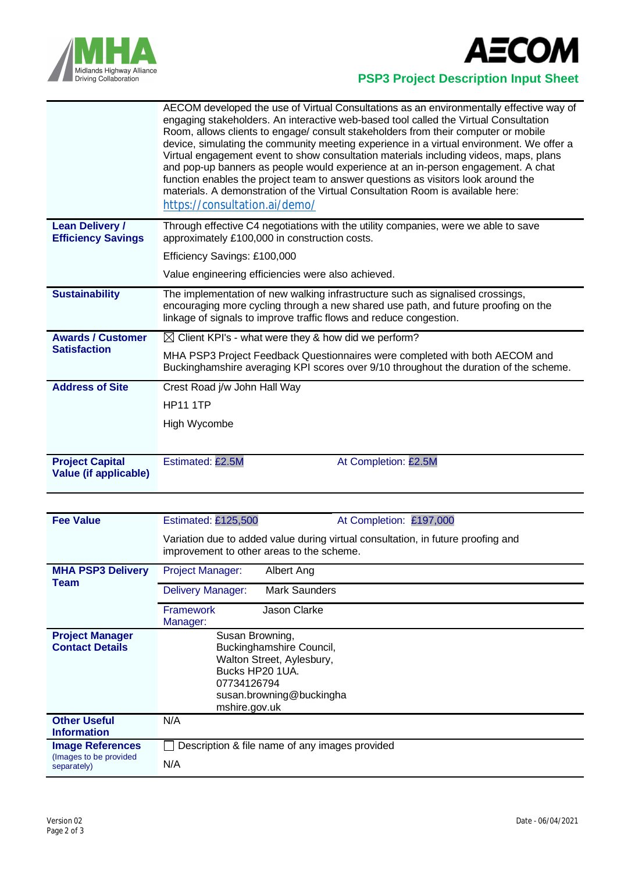



## **PSP3 Project Description Input Sheet**

|                                                        | AECOM developed the use of Virtual Consultations as an environmentally effective way of<br>engaging stakeholders. An interactive web-based tool called the Virtual Consultation<br>Room, allows clients to engage/ consult stakeholders from their computer or mobile<br>device, simulating the community meeting experience in a virtual environment. We offer a<br>Virtual engagement event to show consultation materials including videos, maps, plans<br>and pop-up banners as people would experience at an in-person engagement. A chat<br>function enables the project team to answer questions as visitors look around the<br>materials. A demonstration of the Virtual Consultation Room is available here:<br>https://consultation.ai/demo/ |  |  |
|--------------------------------------------------------|--------------------------------------------------------------------------------------------------------------------------------------------------------------------------------------------------------------------------------------------------------------------------------------------------------------------------------------------------------------------------------------------------------------------------------------------------------------------------------------------------------------------------------------------------------------------------------------------------------------------------------------------------------------------------------------------------------------------------------------------------------|--|--|
| <b>Lean Delivery /</b><br><b>Efficiency Savings</b>    | Through effective C4 negotiations with the utility companies, were we able to save<br>approximately £100,000 in construction costs.                                                                                                                                                                                                                                                                                                                                                                                                                                                                                                                                                                                                                    |  |  |
|                                                        | Efficiency Savings: £100,000                                                                                                                                                                                                                                                                                                                                                                                                                                                                                                                                                                                                                                                                                                                           |  |  |
|                                                        | Value engineering efficiencies were also achieved.                                                                                                                                                                                                                                                                                                                                                                                                                                                                                                                                                                                                                                                                                                     |  |  |
| <b>Sustainability</b>                                  | The implementation of new walking infrastructure such as signalised crossings,<br>encouraging more cycling through a new shared use path, and future proofing on the<br>linkage of signals to improve traffic flows and reduce congestion.                                                                                                                                                                                                                                                                                                                                                                                                                                                                                                             |  |  |
| <b>Awards / Customer</b>                               | $\boxtimes$ Client KPI's - what were they & how did we perform?                                                                                                                                                                                                                                                                                                                                                                                                                                                                                                                                                                                                                                                                                        |  |  |
| <b>Satisfaction</b>                                    | MHA PSP3 Project Feedback Questionnaires were completed with both AECOM and<br>Buckinghamshire averaging KPI scores over 9/10 throughout the duration of the scheme.                                                                                                                                                                                                                                                                                                                                                                                                                                                                                                                                                                                   |  |  |
| <b>Address of Site</b>                                 | Crest Road j/w John Hall Way                                                                                                                                                                                                                                                                                                                                                                                                                                                                                                                                                                                                                                                                                                                           |  |  |
|                                                        | <b>HP11 1TP</b>                                                                                                                                                                                                                                                                                                                                                                                                                                                                                                                                                                                                                                                                                                                                        |  |  |
|                                                        | High Wycombe                                                                                                                                                                                                                                                                                                                                                                                                                                                                                                                                                                                                                                                                                                                                           |  |  |
|                                                        |                                                                                                                                                                                                                                                                                                                                                                                                                                                                                                                                                                                                                                                                                                                                                        |  |  |
| <b>Project Capital</b><br><b>Value (if applicable)</b> | Estimated: £2.5M<br>At Completion: £2.5M                                                                                                                                                                                                                                                                                                                                                                                                                                                                                                                                                                                                                                                                                                               |  |  |

| <b>Fee Value</b>                       | <b>Estimated: £125,500</b>                                                                                                    | At Completion: £197,000 |  |  |  |  |
|----------------------------------------|-------------------------------------------------------------------------------------------------------------------------------|-------------------------|--|--|--|--|
|                                        | Variation due to added value during virtual consultation, in future proofing and<br>improvement to other areas to the scheme. |                         |  |  |  |  |
| <b>MHA PSP3 Delivery</b><br>Team       | <b>Project Manager:</b>                                                                                                       | Albert Ang              |  |  |  |  |
|                                        | <b>Delivery Manager:</b>                                                                                                      | <b>Mark Saunders</b>    |  |  |  |  |
|                                        | <b>Framework</b><br>Manager:                                                                                                  | Jason Clarke            |  |  |  |  |
| <b>Project Manager</b>                 | Susan Browning,                                                                                                               |                         |  |  |  |  |
| <b>Contact Details</b>                 | Buckinghamshire Council,                                                                                                      |                         |  |  |  |  |
|                                        | Walton Street, Aylesbury,<br>Bucks HP20 1UA.<br>07734126794                                                                   |                         |  |  |  |  |
|                                        |                                                                                                                               |                         |  |  |  |  |
|                                        | susan.browning@buckingha                                                                                                      |                         |  |  |  |  |
|                                        | mshire.gov.uk                                                                                                                 |                         |  |  |  |  |
| <b>Other Useful</b>                    | N/A                                                                                                                           |                         |  |  |  |  |
| <b>Information</b>                     |                                                                                                                               |                         |  |  |  |  |
| <b>Image References</b>                | Description & file name of any images provided                                                                                |                         |  |  |  |  |
| (Images to be provided)<br>separately) | N/A                                                                                                                           |                         |  |  |  |  |